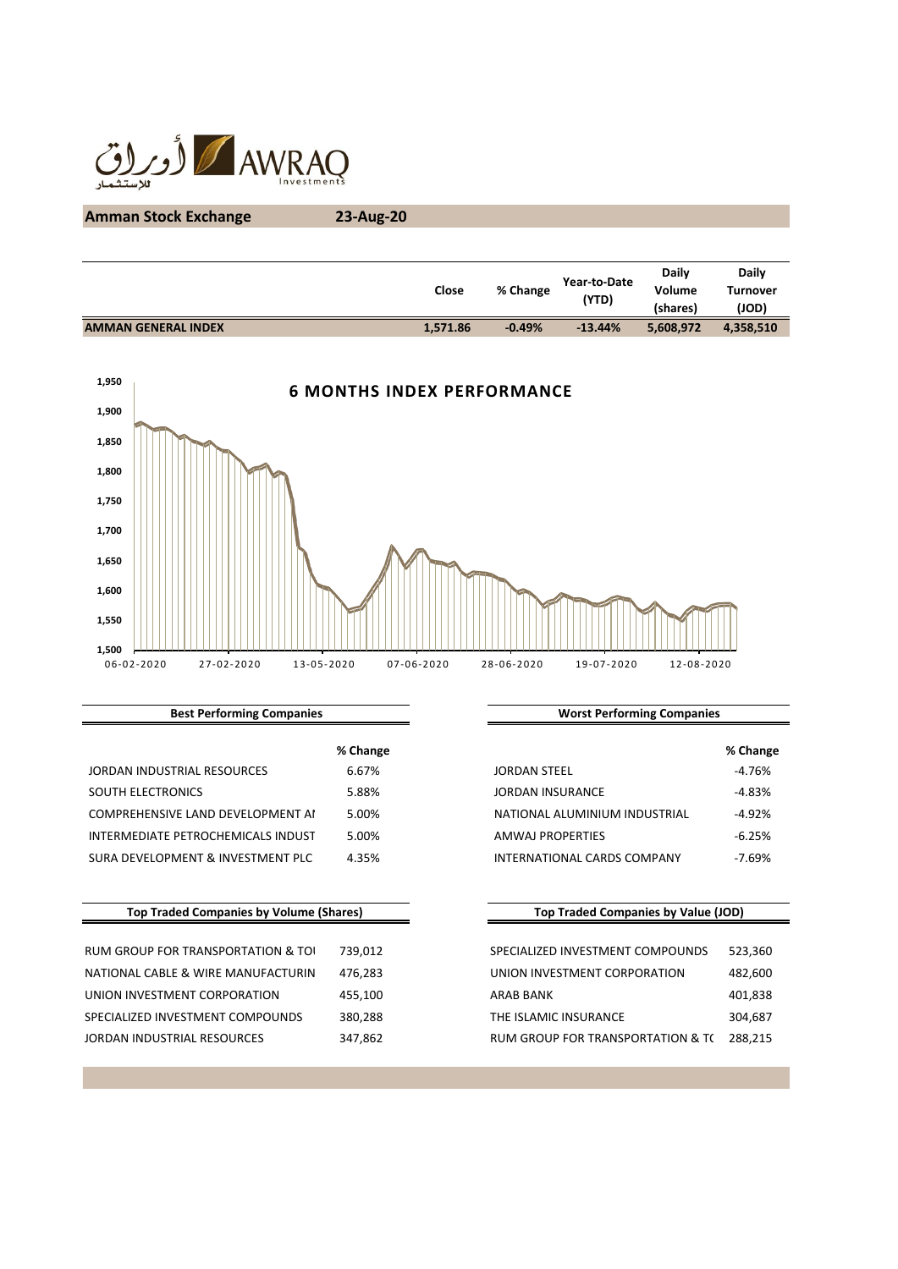

# **Amman Stock Exchange 23-Aug-20**

|                            | Close    | % Change | Year-to-Date<br>(YTD) | <b>Daily</b><br>Volume<br>(shares) | <b>Daily</b><br>Turnover<br>(JOD) |
|----------------------------|----------|----------|-----------------------|------------------------------------|-----------------------------------|
| <b>AMMAN GENERAL INDEX</b> | 1.571.86 | $-0.49%$ | $-13.44%$             | 5,608,972                          | 4,358,510                         |
|                            |          |          |                       |                                    |                                   |



|  | <b>Best Performing Companies</b> |  |
|--|----------------------------------|--|
|--|----------------------------------|--|

|                                    | % Change |                               | % Chan   |
|------------------------------------|----------|-------------------------------|----------|
| JORDAN INDUSTRIAL RESOURCES        | 6.67%    | <b>JORDAN STEEL</b>           | -4.76%   |
| <b>SOUTH ELECTRONICS</b>           | 5.88%    | JORDAN INSURANCE              | $-4.83%$ |
| COMPREHENSIVE LAND DEVELOPMENT AI  | 5.00%    | NATIONAL ALUMINIUM INDUSTRIAL | $-4.92%$ |
| INTERMEDIATE PETROCHEMICALS INDUST | 5.00%    | AMWAJ PROPERTIES              | $-6.25%$ |
| SURA DEVELOPMENT & INVESTMENT PLC  | 4.35%    | INTERNATIONAL CARDS COMPANY   | $-7.69%$ |

| <b>Top Traded Companies by Volume (Shares)</b> |         | Top Traded Companies by Value (JOD)          |
|------------------------------------------------|---------|----------------------------------------------|
| RUM GROUP FOR TRANSPORTATION & TOL             | 739,012 | 523,360<br>SPECIALIZED INVESTMENT COMPOUNDS  |
| NATIONAL CABLE & WIRE MANUFACTURIN             | 476.283 | UNION INVESTMENT CORPORATION<br>482,600      |
| UNION INVESTMENT CORPORATION                   | 455,100 | ARAB BANK<br>401,838                         |
| SPECIALIZED INVESTMENT COMPOUNDS               | 380,288 | THE ISLAMIC INSURANCE<br>304,687             |
| JORDAN INDUSTRIAL RESOURCES                    | 347,862 | RUM GROUP FOR TRANSPORTATION & TO<br>288,215 |

### **Worst Performing Companies**

| % Change |                               | % Change |
|----------|-------------------------------|----------|
| 6.67%    | <b>JORDAN STEEL</b>           | $-4.76%$ |
| 5.88%    | JORDAN INSURANCE              | $-4.83%$ |
| 5.00%    | NATIONAL ALUMINIUM INDUSTRIAL | $-4.92%$ |
| 5.00%    | AMWAJ PROPERTIES              | $-6.25%$ |
| 4.35%    | INTERNATIONAL CARDS COMPANY   | $-7.69%$ |

## **Top Traded Companies by Value (JOD)**

| SPECIALIZED INVESTMENT COMPOUNDS         | 523.360 |
|------------------------------------------|---------|
| UNION INVESTMENT CORPORATION             | 482,600 |
| ARAB BANK                                | 401,838 |
| THE ISLAMIC INSURANCE                    | 304.687 |
| RUM GROUP FOR TRANSPORTATION & T(288.215 |         |